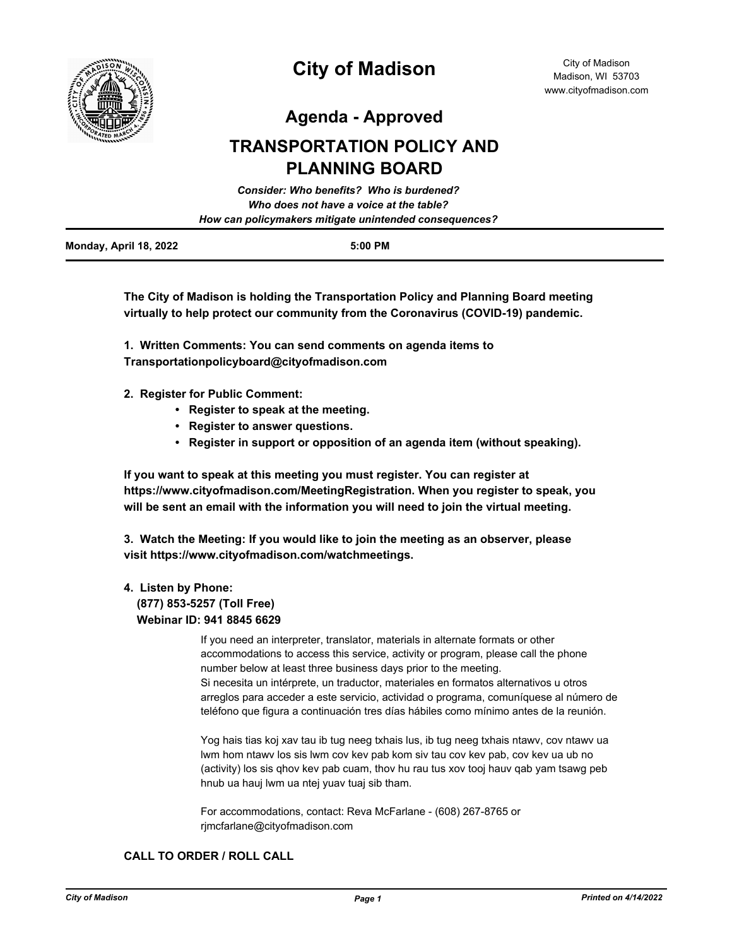

# **City of Madison**

**Agenda - Approved**

## **TRANSPORTATION POLICY AND PLANNING BOARD**

|                        | <b>Consider: Who benefits? Who is burdened?</b>        |
|------------------------|--------------------------------------------------------|
|                        | Who does not have a voice at the table?                |
|                        | How can policymakers mitigate unintended consequences? |
| Monday, April 18, 2022 | $5:00$ PM                                              |

**The City of Madison is holding the Transportation Policy and Planning Board meeting virtually to help protect our community from the Coronavirus (COVID-19) pandemic.**

**1. Written Comments: You can send comments on agenda items to Transportationpolicyboard@cityofmadison.com**

- **2. Register for Public Comment:** 
	- **Register to speak at the meeting.**
	- **Register to answer questions.**
	- **Register in support or opposition of an agenda item (without speaking).**

**If you want to speak at this meeting you must register. You can register at https://www.cityofmadison.com/MeetingRegistration. When you register to speak, you will be sent an email with the information you will need to join the virtual meeting.**

**3. Watch the Meeting: If you would like to join the meeting as an observer, please visit https://www.cityofmadison.com/watchmeetings.**

### **4. Listen by Phone:**

 **(877) 853-5257 (Toll Free) Webinar ID: 941 8845 6629**

> If you need an interpreter, translator, materials in alternate formats or other accommodations to access this service, activity or program, please call the phone number below at least three business days prior to the meeting. Si necesita un intérprete, un traductor, materiales en formatos alternativos u otros arreglos para acceder a este servicio, actividad o programa, comuníquese al número de teléfono que figura a continuación tres días hábiles como mínimo antes de la reunión.

Yog hais tias koj xav tau ib tug neeg txhais lus, ib tug neeg txhais ntawv, cov ntawv ua lwm hom ntawv los sis lwm cov kev pab kom siv tau cov kev pab, cov kev ua ub no (activity) los sis qhov kev pab cuam, thov hu rau tus xov tooj hauv qab yam tsawg peb hnub ua hauj lwm ua ntej yuav tuaj sib tham.

For accommodations, contact: Reva McFarlane - (608) 267-8765 or rjmcfarlane@cityofmadison.com

### **CALL TO ORDER / ROLL CALL**